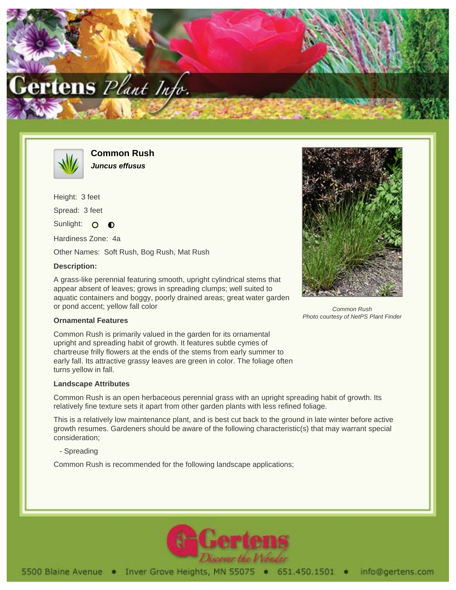



**Common Rush Juncus effusus**

Height: 3 feet Spread: 3 feet Sunlight: O  $\bullet$ Hardiness Zone: 4a

Other Names: Soft Rush, Bog Rush, Mat Rush

## **Description:**

A grass-like perennial featuring smooth, upright cylindrical stems that appear absent of leaves; grows in spreading clumps; well suited to aquatic containers and boggy, poorly drained areas; great water garden or pond accent; yellow fall color



Common Rush Photo courtesy of NetPS Plant Finder

## **Ornamental Features**

Common Rush is primarily valued in the garden for its ornamental upright and spreading habit of growth. It features subtle cymes of chartreuse frilly flowers at the ends of the stems from early summer to early fall. Its attractive grassy leaves are green in color. The foliage often turns yellow in fall.

## **Landscape Attributes**

Common Rush is an open herbaceous perennial grass with an upright spreading habit of growth. Its relatively fine texture sets it apart from other garden plants with less refined foliage.

This is a relatively low maintenance plant, and is best cut back to the ground in late winter before active growth resumes. Gardeners should be aware of the following characteristic(s) that may warrant special consideration;

- Spreading

Common Rush is recommended for the following landscape applications;